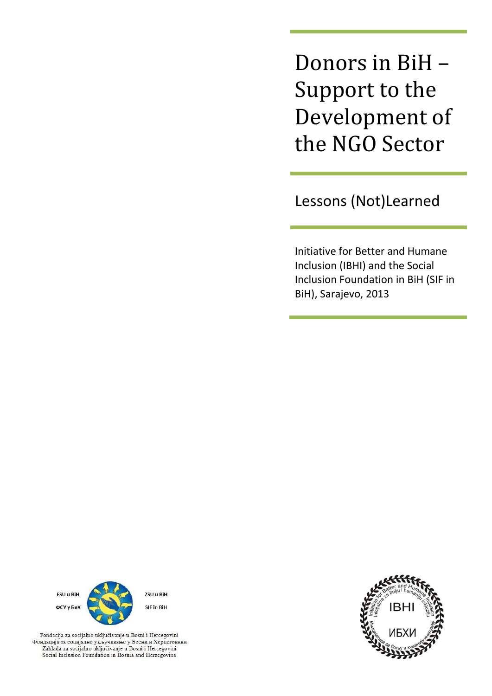Donors in BiH – Support to the Development of the NGO Sector

Lessons (Not)Learned

Initiative for Better and Humane Inclusion (IBHI) and the Social Inclusion Foundation in BiH (SIF in BiH), Sarajevo, 2013



BHI

Fondacija za socijalno uključivanje u Bosni i Hercegovini  $\Phi$ ондација за социјално укључивање у Босни и Херцеговини Zaklada za socijalno uključivanje u Bosni i Hercegovini Social Inclusion Foundation in Bosnia and Herzegovina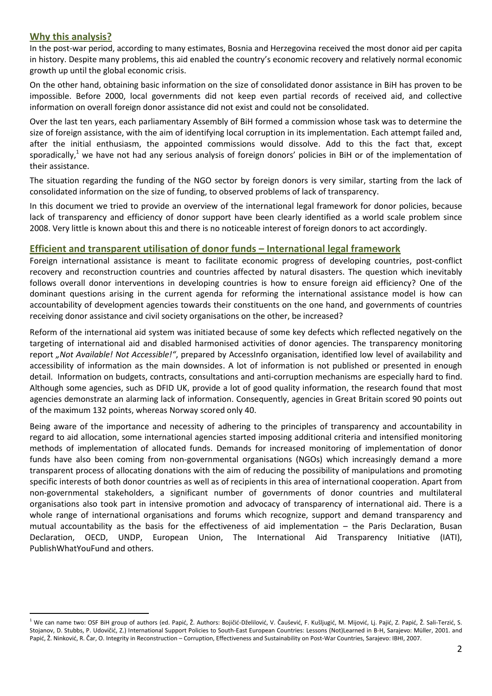#### **Why this analysis?**

-

In the post-war period, according to many estimates, Bosnia and Herzegovina received the most donor aid per capita in history. Despite many problems, this aid enabled the country's economic recovery and relatively normal economic growth up until the global economic crisis.

On the other hand, obtaining basic information on the size of consolidated donor assistance in BiH has proven to be impossible. Before 2000, local governments did not keep even partial records of received aid, and collective information on overall foreign donor assistance did not exist and could not be consolidated.

Over the last ten years, each parliamentary Assembly of BiH formed a commission whose task was to determine the size of foreign assistance, with the aim of identifying local corruption in its implementation. Each attempt failed and, after the initial enthusiasm, the appointed commissions would dissolve. Add to this the fact that, except sporadically,<sup>1</sup> we have not had any serious analysis of foreign donors' policies in BiH or of the implementation of their assistance.

The situation regarding the funding of the NGO sector by foreign donors is very similar, starting from the lack of consolidated information on the size of funding, to observed problems of lack of transparency.

In this document we tried to provide an overview of the international legal framework for donor policies, because lack of transparency and efficiency of donor support have been clearly identified as a world scale problem since 2008. Very little is known about this and there is no noticeable interest of foreign donors to act accordingly.

### **Efficient and transparent utilisation of donor funds – International legal framework**

Foreign international assistance is meant to facilitate economic progress of developing countries, post-conflict recovery and reconstruction countries and countries affected by natural disasters. The question which inevitably follows overall donor interventions in developing countries is how to ensure foreign aid efficiency? One of the dominant questions arising in the current agenda for reforming the international assistance model is how can accountability of development agencies towards their constituents on the one hand, and governments of countries receiving donor assistance and civil society organisations on the other, be increased?

Reform of the international aid system was initiated because of some key defects which reflected negatively on the targeting of international aid and disabled harmonised activities of donor agencies. The transparency monitoring report *"Not Available! Not Accessible!"*, prepared by AccessInfo organisation, identified low level of availability and accessibility of information as the main downsides. A lot of information is not published or presented in enough detail. Information on budgets, contracts, consultations and anti-corruption mechanisms are especially hard to find. Although some agencies, such as DFID UK, provide a lot of good quality information, the research found that most agencies demonstrate an alarming lack of information. Consequently, agencies in Great Britain scored 90 points out of the maximum 132 points, whereas Norway scored only 40.

Being aware of the importance and necessity of adhering to the principles of transparency and accountability in regard to aid allocation, some international agencies started imposing additional criteria and intensified monitoring methods of implementation of allocated funds. Demands for increased monitoring of implementation of donor funds have also been coming from non-governmental organisations (NGOs) which increasingly demand a more transparent process of allocating donations with the aim of reducing the possibility of manipulations and promoting specific interests of both donor countries as well as of recipients in this area of international cooperation. Apart from non-governmental stakeholders, a significant number of governments of donor countries and multilateral organisations also took part in intensive promotion and advocacy of transparency of international aid. There is a whole range of international organisations and forums which recognize, support and demand transparency and mutual accountability as the basis for the effectiveness of aid implementation – the Paris Declaration, Busan Declaration, OECD, UNDP, European Union, The International Aid Transparency Initiative (IATI), PublishWhatYouFund and others.

<sup>&</sup>lt;sup>1</sup> We can name two: OSF BiH group of authors (ed. Papić, Ž. Authors: Bojičić-Dželilović, V. Čaušević, F. Kušljugić, M. Mijović, Lj. Pajić, Z. Papić, Ž. Sali-Terzić, S. Stojanov, D. Stubbs, P. Udovičić, Z.) International Support Policies to South-East European Countries: Lessons (Not)Learned in B-H, Sarajevo: Müller, 2001. and Papić, Ž. Ninković, R. Čar, O. Integrity in Reconstruction – Corruption, Effectiveness and Sustainability on Post-War Countries, Sarajevo: IBHI, 2007.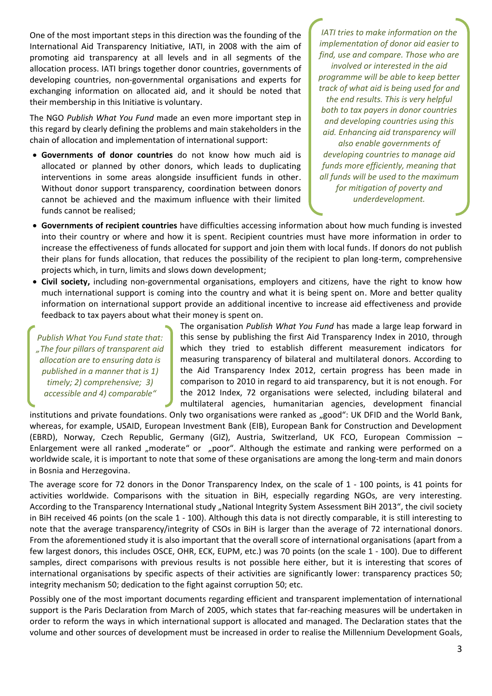One of the most important steps in this direction was the founding of the International Aid Transparency Initiative, IATI, in 2008 with the aim of promoting aid transparency at all levels and in all segments of the allocation process. IATI brings together donor countries, governments of developing countries, non-governmental organisations and experts for exchanging information on allocated aid, and it should be noted that their membership in this Initiative is voluntary.

The NGO *Publish What You Fund* made an even more important step in this regard by clearly defining the problems and main stakeholders in the chain of allocation and implementation of international support:

 **Governments of donor countries** do not know how much aid is allocated or planned by other donors, which leads to duplicating interventions in some areas alongside insufficient funds in other. Without donor support transparency, coordination between donors cannot be achieved and the maximum influence with their limited funds cannot be realised;

*IATI tries to make information on the implementation of donor aid easier to find, use and compare. Those who are involved or interested in the aid programme will be able to keep better track of what aid is being used for and the end results. This is very helpful both to tax payers in donor countries and developing countries using this aid. Enhancing aid transparency will also enable governments of developing countries to manage aid funds more efficiently, meaning that all funds will be used to the maximum for mitigation of poverty and underdevelopment.*

- **Governments of recipient countries** have difficulties accessing information about how much funding is invested into their country or where and how it is spent. Recipient countries must have more information in order to increase the effectiveness of funds allocated for support and join them with local funds. If donors do not publish their plans for funds allocation, that reduces the possibility of the recipient to plan long-term, comprehensive projects which, in turn, limits and slows down development;
- **Civil society,** including non-governmental organisations, employers and citizens, have the right to know how much international support is coming into the country and what it is being spent on. More and better quality information on international support provide an additional incentive to increase aid effectiveness and provide feedback to tax payers about what their money is spent on.

*Publish What You Fund state that: "The four pillars of transparent aid allocation are to ensuring data is published in a manner that is 1) timely; 2) comprehensive; 3) accessible and 4) comparable"*

The organisation *Publish What You Fund* has made a large leap forward in this sense by publishing the first Aid Transparency Index in 2010, through which they tried to establish different measurement indicators for measuring transparency of bilateral and multilateral donors. According to the Aid Transparency Index 2012, certain progress has been made in comparison to 2010 in regard to aid transparency, but it is not enough. For the 2012 Index, 72 organisations were selected, including bilateral and multilateral agencies, humanitarian agencies, development financial

institutions and private foundations. Only two organisations were ranked as "good": UK DFID and the World Bank, whereas, for example, USAID, European Investment Bank (EIB), European Bank for Construction and Development (EBRD), Norway, Czech Republic, Germany (GIZ), Austria, Switzerland, UK FCO, European Commission – Enlargement were all ranked "moderate" or "poor". Although the estimate and ranking were performed on a worldwide scale, it is important to note that some of these organisations are among the long-term and main donors in Bosnia and Herzegovina.

The average score for 72 donors in the Donor Transparency Index, on the scale of 1 - 100 points, is 41 points for activities worldwide. Comparisons with the situation in BiH, especially regarding NGOs, are very interesting. According to the Transparency International study "National Integrity System Assessment BiH 2013", the civil society in BiH received 46 points (on the scale 1 - 100). Although this data is not directly comparable, it is still interesting to note that the average transparency/integrity of CSOs in BiH is larger than the average of 72 international donors. From the aforementioned study it is also important that the overall score of international organisations (apart from a few largest donors, this includes OSCE, OHR, ECK, EUPM, etc.) was 70 points (on the scale 1 - 100). Due to different samples, direct comparisons with previous results is not possible here either, but it is interesting that scores of international organisations by specific aspects of their activities are significantly lower: transparency practices 50; integrity mechanism 50; dedication to the fight against corruption 50; etc.

Possibly one of the most important documents regarding efficient and transparent implementation of international support is the Paris Declaration from March of 2005, which states that far-reaching measures will be undertaken in order to reform the ways in which international support is allocated and managed. The Declaration states that the volume and other sources of development must be increased in order to realise the Millennium Development Goals,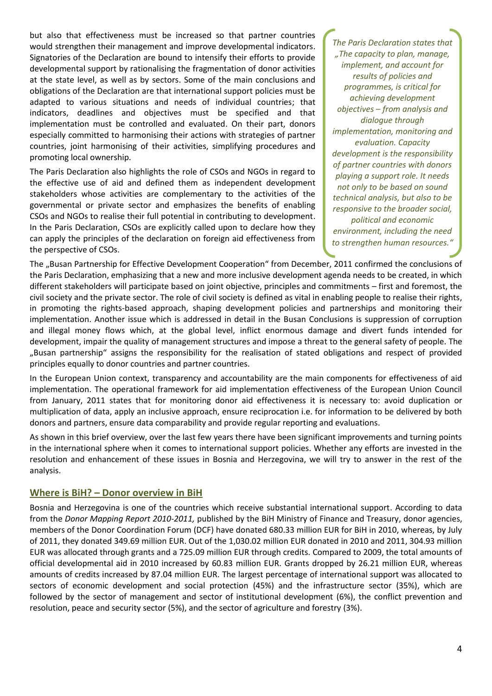but also that effectiveness must be increased so that partner countries would strengthen their management and improve developmental indicators. Signatories of the Declaration are bound to intensify their efforts to provide developmental support by rationalising the fragmentation of donor activities at the state level, as well as by sectors. Some of the main conclusions and obligations of the Declaration are that international support policies must be adapted to various situations and needs of individual countries; that indicators, deadlines and objectives must be specified and that implementation must be controlled and evaluated. On their part, donors especially committed to harmonising their actions with strategies of partner countries, joint harmonising of their activities, simplifying procedures and promoting local ownership.

The Paris Declaration also highlights the role of CSOs and NGOs in regard to the effective use of aid and defined them as independent development stakeholders whose activities are complementary to the activities of the governmental or private sector and emphasizes the benefits of enabling CSOs and NGOs to realise their full potential in contributing to development. In the Paris Declaration, CSOs are explicitly called upon to declare how they can apply the principles of the declaration on foreign aid effectiveness from the perspective of CSOs.

*The Paris Declaration states that "The capacity to plan, manage, implement, and account for results of policies and programmes, is critical for achieving development objectives – from analysis and dialogue through implementation, monitoring and evaluation. Capacity development is the responsibility of partner countries with donors playing a support role. It needs not only to be based on sound technical analysis, but also to be responsive to the broader social, political and economic environment, including the need to strengthen human resources."*

The "Busan Partnership for Effective Development Cooperation" from December, 2011 confirmed the conclusions of the Paris Declaration, emphasizing that a new and more inclusive development agenda needs to be created, in which different stakeholders will participate based on joint objective, principles and commitments – first and foremost, the civil society and the private sector. The role of civil society is defined as vital in enabling people to realise their rights, in promoting the rights-based approach, shaping development policies and partnerships and monitoring their implementation. Another issue which is addressed in detail in the Busan Conclusions is suppression of corruption and illegal money flows which, at the global level, inflict enormous damage and divert funds intended for development, impair the quality of management structures and impose a threat to the general safety of people. The "Busan partnership" assigns the responsibility for the realisation of stated obligations and respect of provided principles equally to donor countries and partner countries.

In the European Union context, transparency and accountability are the main components for effectiveness of aid implementation. The operational framework for aid implementation effectiveness of the European Union Council from January, 2011 states that for monitoring donor aid effectiveness it is necessary to: avoid duplication or multiplication of data, apply an inclusive approach, ensure reciprocation i.e. for information to be delivered by both donors and partners, ensure data comparability and provide regular reporting and evaluations.

As shown in this brief overview, over the last few years there have been significant improvements and turning points in the international sphere when it comes to international support policies. Whether any efforts are invested in the resolution and enhancement of these issues in Bosnia and Herzegovina, we will try to answer in the rest of the analysis.

### **Where is BiH? – Donor overview in BiH**

Bosnia and Herzegovina is one of the countries which receive substantial international support. According to data from the *Donor Mapping Report 2010-2011,* published by the BiH Ministry of Finance and Treasury, donor agencies, members of the Donor Coordination Forum (DCF) have donated 680.33 million EUR for BiH in 2010, whereas, by July of 2011, they donated 349.69 million EUR. Out of the 1,030.02 million EUR donated in 2010 and 2011, 304.93 million EUR was allocated through grants and a 725.09 million EUR through credits. Compared to 2009, the total amounts of official developmental aid in 2010 increased by 60.83 million EUR. Grants dropped by 26.21 million EUR, whereas amounts of credits increased by 87.04 million EUR. The largest percentage of international support was allocated to sectors of economic development and social protection (45%) and the infrastructure sector (35%), which are followed by the sector of management and sector of institutional development (6%), the conflict prevention and resolution, peace and security sector (5%), and the sector of agriculture and forestry (3%).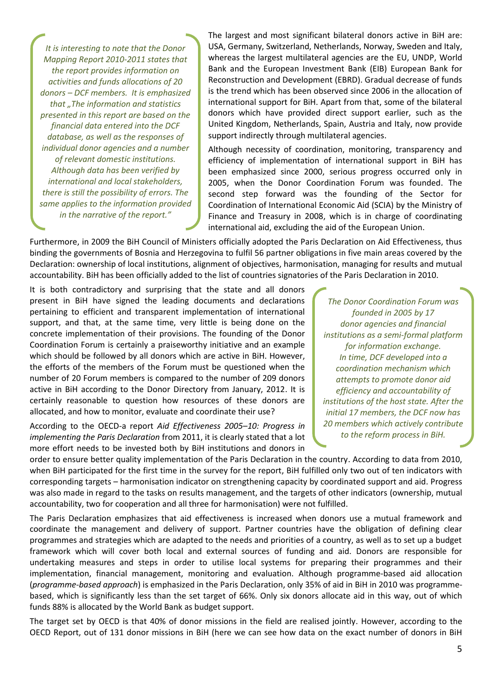*It is interesting to note that the Donor Mapping Report 2010-2011 states that the report provides information on activities and funds allocations of 20 donors – DCF members. It is emphasized that "The information and statistics presented in this report are based on the financial data entered into the DCF database, as well as the responses of individual donor agencies and a number of relevant domestic institutions. Although data has been verified by international and local stakeholders, there is still the possibility of errors. The same applies to the information provided in the narrative of the report."*

The largest and most significant bilateral donors active in BiH are: USA, Germany, Switzerland, Netherlands, Norway, Sweden and Italy, whereas the largest multilateral agencies are the EU, UNDP, World Bank and the European Investment Bank (EIB) European Bank for Reconstruction and Development (EBRD). Gradual decrease of funds is the trend which has been observed since 2006 in the allocation of international support for BiH. Apart from that, some of the bilateral donors which have provided direct support earlier, such as the United Kingdom, Netherlands, Spain, Austria and Italy, now provide support indirectly through multilateral agencies.

Although necessity of coordination, monitoring, transparency and efficiency of implementation of international support in BiH has been emphasized since 2000, serious progress occurred only in 2005, when the Donor Coordination Forum was founded. The second step forward was the founding of the Sector for Coordination of International Economic Aid (SCIA) by the Ministry of Finance and Treasury in 2008, which is in charge of coordinating international aid, excluding the aid of the European Union.

Furthermore, in 2009 the BiH Council of Ministers officially adopted the Paris Declaration on Aid Effectiveness, thus binding the governments of Bosnia and Herzegovina to fulfil 56 partner obligations in five main areas covered by the Declaration: ownership of local institutions, alignment of objectives, harmonisation, managing for results and mutual accountability. BiH has been officially added to the list of countries signatories of the Paris Declaration in 2010.

It is both contradictory and surprising that the state and all donors present in BiH have signed the leading documents and declarations pertaining to efficient and transparent implementation of international support, and that, at the same time, very little is being done on the concrete implementation of their provisions. The founding of the Donor Coordination Forum is certainly a praiseworthy initiative and an example which should be followed by all donors which are active in BiH. However, the efforts of the members of the Forum must be questioned when the number of 20 Forum members is compared to the number of 209 donors active in BiH according to the Donor Directory from January, 2012. It is certainly reasonable to question how resources of these donors are allocated, and how to monitor, evaluate and coordinate their use?

According to the OECD-a report *Aid Effectiveness 2005–10: Progress in implementing the Paris Declaration* from 2011, it is clearly stated that a lot more effort needs to be invested both by BiH institutions and donors in

*The Donor Coordination Forum was founded in 2005 by 17 donor agencies and financial institutions as a semi-formal platform for information exchange. In time, DCF developed into a coordination mechanism which attempts to promote donor aid efficiency and accountability of institutions of the host state. After the initial 17 members, the DCF now has 20 members which actively contribute to the reform process in BiH.*

order to ensure better quality implementation of the Paris Declaration in the country. According to data from 2010, when BiH participated for the first time in the survey for the report, BiH fulfilled only two out of ten indicators with corresponding targets – harmonisation indicator on strengthening capacity by coordinated support and aid. Progress was also made in regard to the tasks on results management, and the targets of other indicators (ownership, mutual accountability, two for cooperation and all three for harmonisation) were not fulfilled.

The Paris Declaration emphasizes that aid effectiveness is increased when donors use a mutual framework and coordinate the management and delivery of support. Partner countries have the obligation of defining clear programmes and strategies which are adapted to the needs and priorities of a country, as well as to set up a budget framework which will cover both local and external sources of funding and aid. Donors are responsible for undertaking measures and steps in order to utilise local systems for preparing their programmes and their implementation, financial management, monitoring and evaluation. Although programme-based aid allocation (*programme-based approach*) is emphasized in the Paris Declaration, only 35% of aid in BiH in 2010 was programmebased, which is significantly less than the set target of 66%. Only six donors allocate aid in this way, out of which funds 88% is allocated by the World Bank as budget support.

The target set by OECD is that 40% of donor missions in the field are realised jointly. However, according to the OECD Report, out of 131 donor missions in BiH (here we can see how data on the exact number of donors in BiH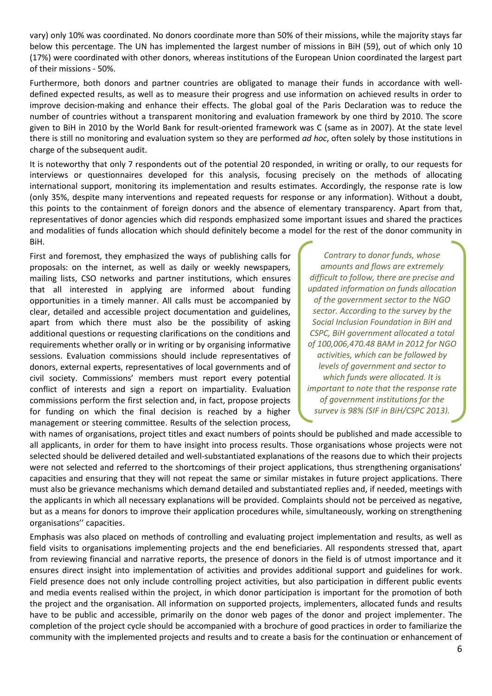vary) only 10% was coordinated. No donors coordinate more than 50% of their missions, while the majority stays far below this percentage. The UN has implemented the largest number of missions in BiH (59), out of which only 10 (17%) were coordinated with other donors, whereas institutions of the European Union coordinated the largest part of their missions - 50%.

Furthermore, both donors and partner countries are obligated to manage their funds in accordance with welldefined expected results, as well as to measure their progress and use information on achieved results in order to improve decision-making and enhance their effects. The global goal of the Paris Declaration was to reduce the number of countries without a transparent monitoring and evaluation framework by one third by 2010. The score given to BiH in 2010 by the World Bank for result-oriented framework was C (same as in 2007). At the state level there is still no monitoring and evaluation system so they are performed *ad hoc*, often solely by those institutions in charge of the subsequent audit.

It is noteworthy that only 7 respondents out of the potential 20 responded, in writing or orally, to our requests for interviews or questionnaires developed for this analysis, focusing precisely on the methods of allocating international support, monitoring its implementation and results estimates. Accordingly, the response rate is low (only 35%, despite many interventions and repeated requests for response or any information). Without a doubt, this points to the containment of foreign donors and the absence of elementary transparency. Apart from that, representatives of donor agencies which did responds emphasized some important issues and shared the practices and modalities of funds allocation which should definitely become a model for the rest of the donor community in BiH.

First and foremost, they emphasized the ways of publishing calls for proposals: on the internet, as well as daily or weekly newspapers, mailing lists, CSO networks and partner institutions, which ensures that all interested in applying are informed about funding opportunities in a timely manner. All calls must be accompanied by clear, detailed and accessible project documentation and guidelines, apart from which there must also be the possibility of asking additional questions or requesting clarifications on the conditions and requirements whether orally or in writing or by organising informative sessions. Evaluation commissions should include representatives of donors, external experts, representatives of local governments and of civil society. Commissions' members must report every potential conflict of interests and sign a report on impartiality. Evaluation commissions perform the first selection and, in fact, propose projects for funding on which the final decision is reached by a higher management or steering committee. Results of the selection process,

*Contrary to donor funds, whose amounts and flows are extremely difficult to follow, there are precise and updated information on funds allocation of the government sector to the NGO sector. According to the survey by the Social Inclusion Foundation in BiH and CSPC, BiH government allocated a total of 100,006,470.48 BAM in 2012 for NGO activities, which can be followed by levels of government and sector to which funds were allocated. It is important to note that the response rate of government institutions for the survey is 98% (SIF in BiH/CSPC 2013).*

with names of organisations, project titles and exact numbers of points should be published and made accessible to all applicants, in order for them to have insight into process results. Those organisations whose projects were not selected should be delivered detailed and well-substantiated explanations of the reasons due to which their projects were not selected and referred to the shortcomings of their project applications, thus strengthening organisations' capacities and ensuring that they will not repeat the same or similar mistakes in future project applications. There must also be grievance mechanisms which demand detailed and substantiated replies and, if needed, meetings with the applicants in which all necessary explanations will be provided. Complaints should not be perceived as negative, but as a means for donors to improve their application procedures while, simultaneously, working on strengthening organisations'' capacities.

Emphasis was also placed on methods of controlling and evaluating project implementation and results, as well as field visits to organisations implementing projects and the end beneficiaries. All respondents stressed that, apart from reviewing financial and narrative reports, the presence of donors in the field is of utmost importance and it ensures direct insight into implementation of activities and provides additional support and guidelines for work. Field presence does not only include controlling project activities, but also participation in different public events and media events realised within the project, in which donor participation is important for the promotion of both the project and the organisation. All information on supported projects, implementers, allocated funds and results have to be public and accessible, primarily on the donor web pages of the donor and project implementer. The completion of the project cycle should be accompanied with a brochure of good practices in order to familiarize the community with the implemented projects and results and to create a basis for the continuation or enhancement of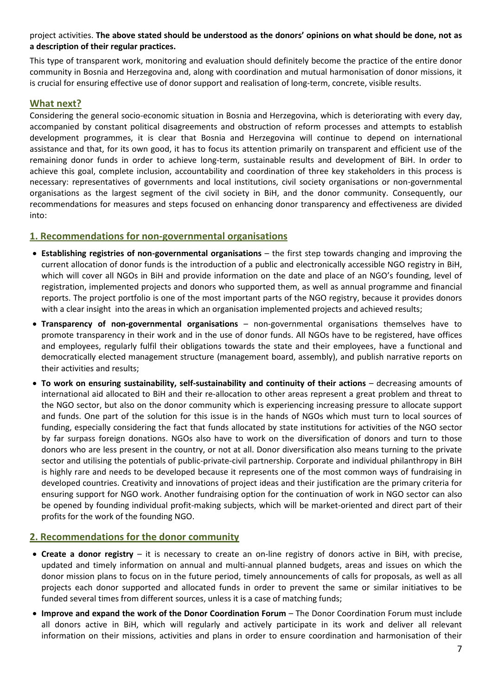project activities. **The above stated should be understood as the donors' opinions on what should be done, not as a description of their regular practices.**

This type of transparent work, monitoring and evaluation should definitely become the practice of the entire donor community in Bosnia and Herzegovina and, along with coordination and mutual harmonisation of donor missions, it is crucial for ensuring effective use of donor support and realisation of long-term, concrete, visible results.

### **What next?**

Considering the general socio-economic situation in Bosnia and Herzegovina, which is deteriorating with every day, accompanied by constant political disagreements and obstruction of reform processes and attempts to establish development programmes, it is clear that Bosnia and Herzegovina will continue to depend on international assistance and that, for its own good, it has to focus its attention primarily on transparent and efficient use of the remaining donor funds in order to achieve long-term, sustainable results and development of BiH. In order to achieve this goal, complete inclusion, accountability and coordination of three key stakeholders in this process is necessary: representatives of governments and local institutions, civil society organisations or non-governmental organisations as the largest segment of the civil society in BiH, and the donor community. Consequently, our recommendations for measures and steps focused on enhancing donor transparency and effectiveness are divided into:

# **1. Recommendations for non-governmental organisations**

- **Establishing registries of non-governmental organisations** the first step towards changing and improving the current allocation of donor funds is the introduction of a public and electronically accessible NGO registry in BiH, which will cover all NGOs in BiH and provide information on the date and place of an NGO's founding, level of registration, implemented projects and donors who supported them, as well as annual programme and financial reports. The project portfolio is one of the most important parts of the NGO registry, because it provides donors with a clear insight into the areas in which an organisation implemented projects and achieved results;
- **Transparency of non-governmental organisations** non-governmental organisations themselves have to promote transparency in their work and in the use of donor funds. All NGOs have to be registered, have offices and employees, regularly fulfil their obligations towards the state and their employees, have a functional and democratically elected management structure (management board, assembly), and publish narrative reports on their activities and results;
- **To work on ensuring sustainability, self-sustainability and continuity of their actions** decreasing amounts of international aid allocated to BiH and their re-allocation to other areas represent a great problem and threat to the NGO sector, but also on the donor community which is experiencing increasing pressure to allocate support and funds. One part of the solution for this issue is in the hands of NGOs which must turn to local sources of funding, especially considering the fact that funds allocated by state institutions for activities of the NGO sector by far surpass foreign donations. NGOs also have to work on the diversification of donors and turn to those donors who are less present in the country, or not at all. Donor diversification also means turning to the private sector and utilising the potentials of public-private-civil partnership. Corporate and individual philanthropy in BiH is highly rare and needs to be developed because it represents one of the most common ways of fundraising in developed countries. Creativity and innovations of project ideas and their justification are the primary criteria for ensuring support for NGO work. Another fundraising option for the continuation of work in NGO sector can also be opened by founding individual profit-making subjects, which will be market-oriented and direct part of their profits for the work of the founding NGO.

### **2. Recommendations for the donor community**

- **Create a donor registry** it is necessary to create an on-line registry of donors active in BiH, with precise, updated and timely information on annual and multi-annual planned budgets, areas and issues on which the donor mission plans to focus on in the future period, timely announcements of calls for proposals, as well as all projects each donor supported and allocated funds in order to prevent the same or similar initiatives to be funded several times from different sources, unless it is a case of matching funds;
- **Improve and expand the work of the Donor Coordination Forum** The Donor Coordination Forum must include all donors active in BiH, which will regularly and actively participate in its work and deliver all relevant information on their missions, activities and plans in order to ensure coordination and harmonisation of their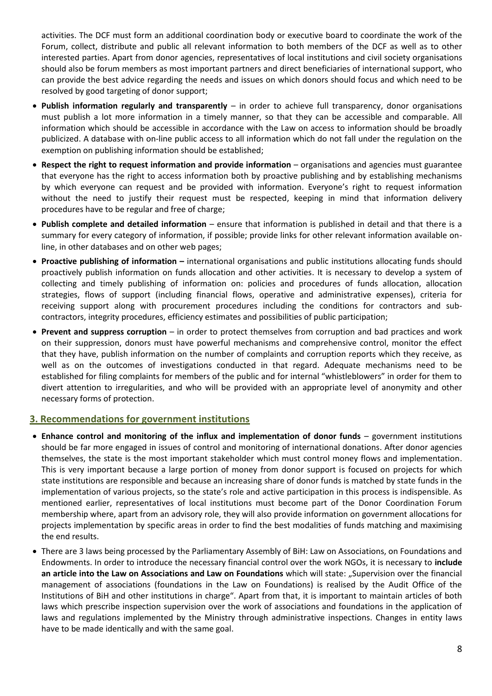activities. The DCF must form an additional coordination body or executive board to coordinate the work of the Forum, collect, distribute and public all relevant information to both members of the DCF as well as to other interested parties. Apart from donor agencies, representatives of local institutions and civil society organisations should also be forum members as most important partners and direct beneficiaries of international support, who can provide the best advice regarding the needs and issues on which donors should focus and which need to be resolved by good targeting of donor support;

- **Publish information regularly and transparently** in order to achieve full transparency, donor organisations must publish a lot more information in a timely manner, so that they can be accessible and comparable. All information which should be accessible in accordance with the Law on access to information should be broadly publicized. A database with on-line public access to all information which do not fall under the regulation on the exemption on publishing information should be established;
- **Respect the right to request information and provide information**  organisations and agencies must guarantee that everyone has the right to access information both by proactive publishing and by establishing mechanisms by which everyone can request and be provided with information. Everyone's right to request information without the need to justify their request must be respected, keeping in mind that information delivery procedures have to be regular and free of charge;
- **Publish complete and detailed information**  ensure that information is published in detail and that there is a summary for every category of information, if possible; provide links for other relevant information available online, in other databases and on other web pages;
- **Proactive publishing of information –** international organisations and public institutions allocating funds should proactively publish information on funds allocation and other activities. It is necessary to develop a system of collecting and timely publishing of information on: policies and procedures of funds allocation, allocation strategies, flows of support (including financial flows, operative and administrative expenses), criteria for receiving support along with procurement procedures including the conditions for contractors and subcontractors, integrity procedures, efficiency estimates and possibilities of public participation;
- **Prevent and suppress corruption** in order to protect themselves from corruption and bad practices and work on their suppression, donors must have powerful mechanisms and comprehensive control, monitor the effect that they have, publish information on the number of complaints and corruption reports which they receive, as well as on the outcomes of investigations conducted in that regard. Adequate mechanisms need to be established for filing complaints for members of the public and for internal "whistleblowers" in order for them to divert attention to irregularities, and who will be provided with an appropriate level of anonymity and other necessary forms of protection.

### **3. Recommendations for government institutions**

- **Enhance control and monitoring of the influx and implementation of donor funds** government institutions should be far more engaged in issues of control and monitoring of international donations. After donor agencies themselves, the state is the most important stakeholder which must control money flows and implementation. This is very important because a large portion of money from donor support is focused on projects for which state institutions are responsible and because an increasing share of donor funds is matched by state funds in the implementation of various projects, so the state's role and active participation in this process is indispensible. As mentioned earlier, representatives of local institutions must become part of the Donor Coordination Forum membership where, apart from an advisory role, they will also provide information on government allocations for projects implementation by specific areas in order to find the best modalities of funds matching and maximising the end results.
- There are 3 laws being processed by the Parliamentary Assembly of BiH: Law on Associations, on Foundations and Endowments. In order to introduce the necessary financial control over the work NGOs, it is necessary to **include**  an article into the Law on Associations and Law on Foundations which will state: "Supervision over the financial management of associations (foundations in the Law on Foundations) is realised by the Audit Office of the Institutions of BiH and other institutions in charge". Apart from that, it is important to maintain articles of both laws which prescribe inspection supervision over the work of associations and foundations in the application of laws and regulations implemented by the Ministry through administrative inspections. Changes in entity laws have to be made identically and with the same goal.